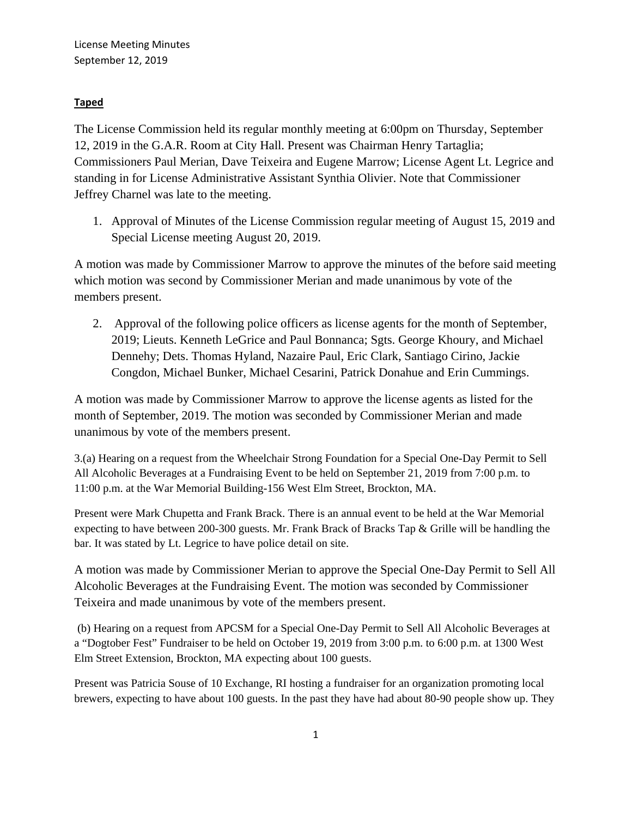## **Taped**

The License Commission held its regular monthly meeting at 6:00pm on Thursday, September 12, 2019 in the G.A.R. Room at City Hall. Present was Chairman Henry Tartaglia; Commissioners Paul Merian, Dave Teixeira and Eugene Marrow; License Agent Lt. Legrice and standing in for License Administrative Assistant Synthia Olivier. Note that Commissioner Jeffrey Charnel was late to the meeting.

1. Approval of Minutes of the License Commission regular meeting of August 15, 2019 and Special License meeting August 20, 2019.

A motion was made by Commissioner Marrow to approve the minutes of the before said meeting which motion was second by Commissioner Merian and made unanimous by vote of the members present.

2. Approval of the following police officers as license agents for the month of September, 2019; Lieuts. Kenneth LeGrice and Paul Bonnanca; Sgts. George Khoury, and Michael Dennehy; Dets. Thomas Hyland, Nazaire Paul, Eric Clark, Santiago Cirino, Jackie Congdon, Michael Bunker, Michael Cesarini, Patrick Donahue and Erin Cummings.

A motion was made by Commissioner Marrow to approve the license agents as listed for the month of September, 2019. The motion was seconded by Commissioner Merian and made unanimous by vote of the members present.

3.(a) Hearing on a request from the Wheelchair Strong Foundation for a Special One-Day Permit to Sell All Alcoholic Beverages at a Fundraising Event to be held on September 21, 2019 from 7:00 p.m. to 11:00 p.m. at the War Memorial Building-156 West Elm Street, Brockton, MA.

Present were Mark Chupetta and Frank Brack. There is an annual event to be held at the War Memorial expecting to have between 200-300 guests. Mr. Frank Brack of Bracks Tap & Grille will be handling the bar. It was stated by Lt. Legrice to have police detail on site.

A motion was made by Commissioner Merian to approve the Special One-Day Permit to Sell All Alcoholic Beverages at the Fundraising Event. The motion was seconded by Commissioner Teixeira and made unanimous by vote of the members present.

(b) Hearing on a request from APCSM for a Special One-Day Permit to Sell All Alcoholic Beverages at a "Dogtober Fest" Fundraiser to be held on October 19, 2019 from 3:00 p.m. to 6:00 p.m. at 1300 West Elm Street Extension, Brockton, MA expecting about 100 guests.

Present was Patricia Souse of 10 Exchange, RI hosting a fundraiser for an organization promoting local brewers, expecting to have about 100 guests. In the past they have had about 80-90 people show up. They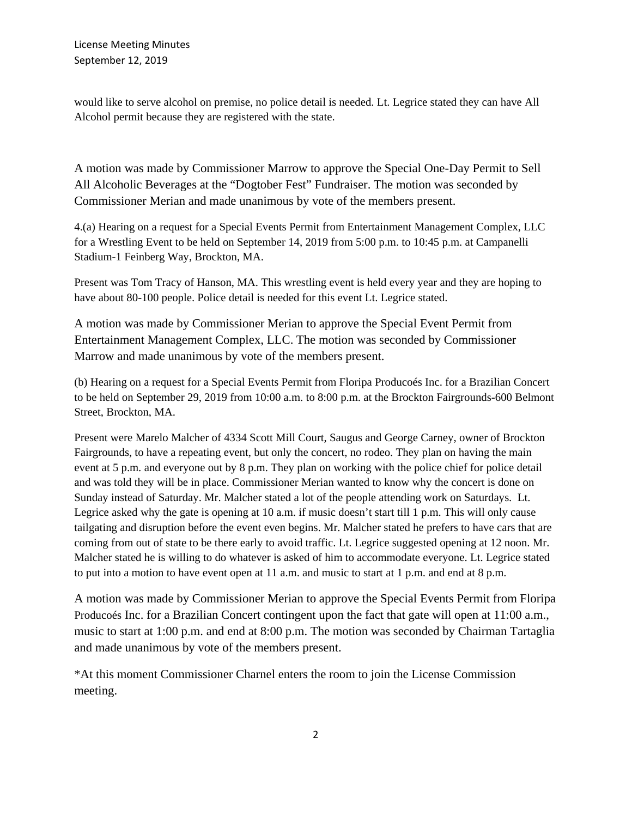would like to serve alcohol on premise, no police detail is needed. Lt. Legrice stated they can have All Alcohol permit because they are registered with the state.

A motion was made by Commissioner Marrow to approve the Special One-Day Permit to Sell All Alcoholic Beverages at the "Dogtober Fest" Fundraiser. The motion was seconded by Commissioner Merian and made unanimous by vote of the members present.

4.(a) Hearing on a request for a Special Events Permit from Entertainment Management Complex, LLC for a Wrestling Event to be held on September 14, 2019 from 5:00 p.m. to 10:45 p.m. at Campanelli Stadium-1 Feinberg Way, Brockton, MA.

Present was Tom Tracy of Hanson, MA. This wrestling event is held every year and they are hoping to have about 80-100 people. Police detail is needed for this event Lt. Legrice stated.

A motion was made by Commissioner Merian to approve the Special Event Permit from Entertainment Management Complex, LLC. The motion was seconded by Commissioner Marrow and made unanimous by vote of the members present.

(b) Hearing on a request for a Special Events Permit from Floripa Producoés Inc. for a Brazilian Concert to be held on September 29, 2019 from 10:00 a.m. to 8:00 p.m. at the Brockton Fairgrounds-600 Belmont Street, Brockton, MA.

Present were Marelo Malcher of 4334 Scott Mill Court, Saugus and George Carney, owner of Brockton Fairgrounds, to have a repeating event, but only the concert, no rodeo. They plan on having the main event at 5 p.m. and everyone out by 8 p.m. They plan on working with the police chief for police detail and was told they will be in place. Commissioner Merian wanted to know why the concert is done on Sunday instead of Saturday. Mr. Malcher stated a lot of the people attending work on Saturdays. Lt. Legrice asked why the gate is opening at 10 a.m. if music doesn't start till 1 p.m. This will only cause tailgating and disruption before the event even begins. Mr. Malcher stated he prefers to have cars that are coming from out of state to be there early to avoid traffic. Lt. Legrice suggested opening at 12 noon. Mr. Malcher stated he is willing to do whatever is asked of him to accommodate everyone. Lt. Legrice stated to put into a motion to have event open at 11 a.m. and music to start at 1 p.m. and end at 8 p.m.

A motion was made by Commissioner Merian to approve the Special Events Permit from Floripa Producoés Inc. for a Brazilian Concert contingent upon the fact that gate will open at 11:00 a.m., music to start at 1:00 p.m. and end at 8:00 p.m. The motion was seconded by Chairman Tartaglia and made unanimous by vote of the members present.

\*At this moment Commissioner Charnel enters the room to join the License Commission meeting.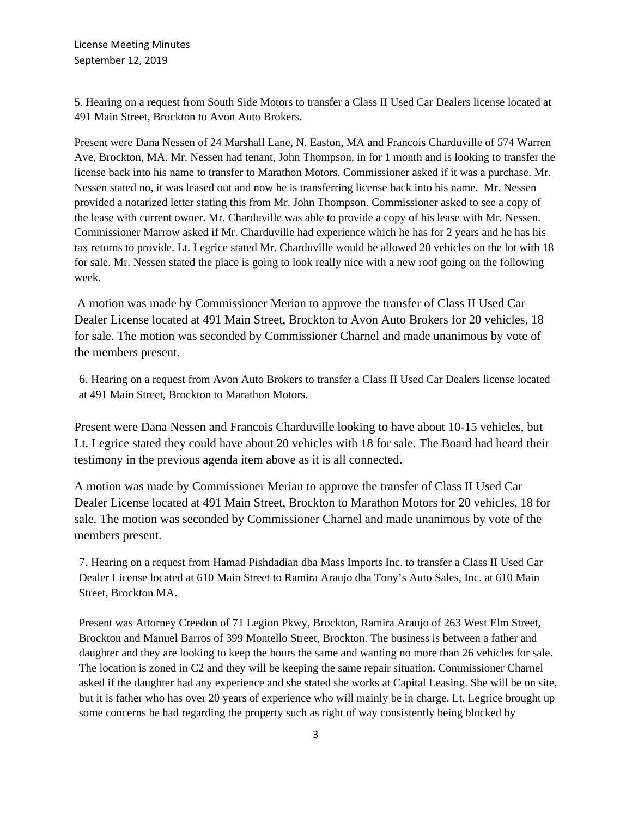5. Hearing on a request from South Side Motors to transfer a Class II Used Car Dealers license located at 491 Main Street, Brockton to Avon Auto Brokers.

Present were Dana Nessen of 24 Marshall Lane, N. Easton, MA and Francois Charduville of 574 Warren Ave, Brockton, MA. Mr. Nessen had tenant, John Thompson, in for 1 month and is looking to transfer the license back into his name to transfer to Marathon Motors. Commissioner asked if it was a purchase. Mr. Nessen stated no, it was leased out and now he is transferring license back into his name. Mr. Nessen provided a notarized letter stating this from Mr. John Thompson. Commissioner asked to see a copy of the lease with current owner. Mr. Charduville was able to provide a copy of his lease with Mr. Nessen. Commissioner Marrow asked if Mr. Charduville had experience which he has for 2 years and he has his tax returns to provide. Lt. Legrice stated Mr. Charduville would be allowed 20 vehicles on the lot with 18 for sale. Mr. Nessen stated the place is going to look really nice with a new roof going on the following week.

A motion was made by Commissioner Merian to approve the transfer of Class II Used Car Dealer License located at 491 Main Street, Brockton to Avon Auto Brokers for 20 vehicles, 18 for sale. The motion was seconded by Commissioner Charnel and made unanimous by vote of the members present.

6. Hearing on a request from Avon Auto Brokers to transfer a Class II Used Car Dealers license located at 491 Main Street, Brockton to Marathon Motors.

Present were Dana Nessen and Francois Charduville looking to have about 10-15 vehicles, but Lt. Legrice stated they could have about 20 vehicles with 18 for sale. The Board had heard their testimony in the previous agenda item above as it is all connected.

A motion was made by Commissioner Merian to approve the transfer of Class II Used Car Dealer License located at 491 Main Street, Brockton to Marathon Motors for 20 vehicles, 18 for sale. The motion was seconded by Commissioner Charnel and made unanimous by vote of the members present.

7. Hearing on a request from Hamad Pishdadian dba Mass Imports Inc. to transfer a Class II Used Car Dealer License located at 610 Main Street to Ramira Araujo dba Tony's Auto Sales, Inc. at 610 Main Street, Brockton MA.

Present was Attorney Creedon of 71 Legion Pkwy, Brockton, Ramira Araujo of 263 West Elm Street, Brockton and Manuel Barros of 399 Montello Street, Brockton. The business is between a father and daughter and they are looking to keep the hours the same and wanting no more than 26 vehicles for sale. The location is zoned in C2 and they will be keeping the same repair situation. Commissioner Charnel asked if the daughter had any experience and she stated she works at Capital Leasing. She will be on site, but it is father who has over 20 years of experience who will mainly be in charge. Lt. Legrice brought up some concerns he had regarding the property such as right of way consistently being blocked by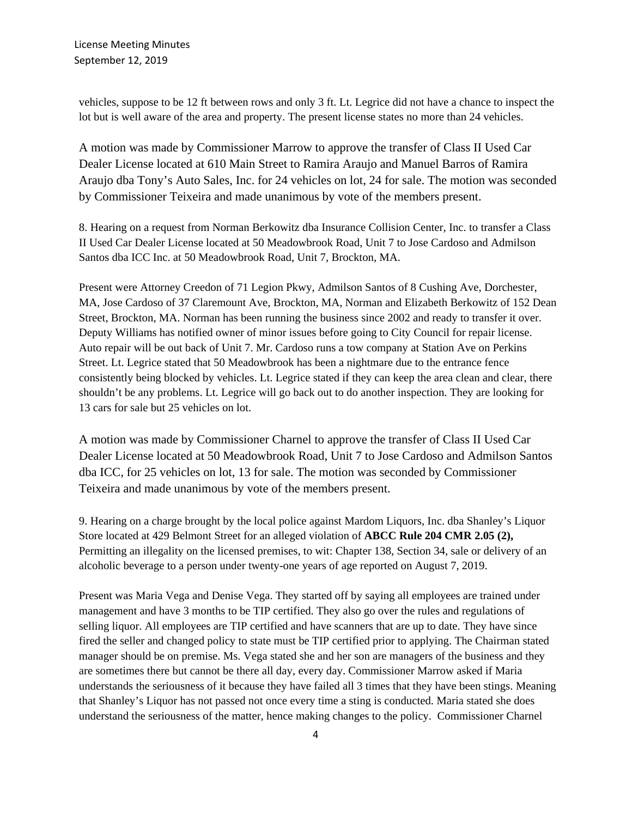vehicles, suppose to be 12 ft between rows and only 3 ft. Lt. Legrice did not have a chance to inspect the lot but is well aware of the area and property. The present license states no more than 24 vehicles.

A motion was made by Commissioner Marrow to approve the transfer of Class II Used Car Dealer License located at 610 Main Street to Ramira Araujo and Manuel Barros of Ramira Araujo dba Tony's Auto Sales, Inc. for 24 vehicles on lot, 24 for sale. The motion was seconded by Commissioner Teixeira and made unanimous by vote of the members present.

8. Hearing on a request from Norman Berkowitz dba Insurance Collision Center, Inc. to transfer a Class II Used Car Dealer License located at 50 Meadowbrook Road, Unit 7 to Jose Cardoso and Admilson Santos dba ICC Inc. at 50 Meadowbrook Road, Unit 7, Brockton, MA.

Present were Attorney Creedon of 71 Legion Pkwy, Admilson Santos of 8 Cushing Ave, Dorchester, MA, Jose Cardoso of 37 Claremount Ave, Brockton, MA, Norman and Elizabeth Berkowitz of 152 Dean Street, Brockton, MA. Norman has been running the business since 2002 and ready to transfer it over. Deputy Williams has notified owner of minor issues before going to City Council for repair license. Auto repair will be out back of Unit 7. Mr. Cardoso runs a tow company at Station Ave on Perkins Street. Lt. Legrice stated that 50 Meadowbrook has been a nightmare due to the entrance fence consistently being blocked by vehicles. Lt. Legrice stated if they can keep the area clean and clear, there shouldn't be any problems. Lt. Legrice will go back out to do another inspection. They are looking for 13 cars for sale but 25 vehicles on lot.

A motion was made by Commissioner Charnel to approve the transfer of Class II Used Car Dealer License located at 50 Meadowbrook Road, Unit 7 to Jose Cardoso and Admilson Santos dba ICC, for 25 vehicles on lot, 13 for sale. The motion was seconded by Commissioner Teixeira and made unanimous by vote of the members present.

9. Hearing on a charge brought by the local police against Mardom Liquors, Inc. dba Shanley's Liquor Store located at 429 Belmont Street for an alleged violation of **ABCC Rule 204 CMR 2.05 (2),** Permitting an illegality on the licensed premises, to wit: Chapter 138, Section 34, sale or delivery of an alcoholic beverage to a person under twenty-one years of age reported on August 7, 2019.

Present was Maria Vega and Denise Vega. They started off by saying all employees are trained under management and have 3 months to be TIP certified. They also go over the rules and regulations of selling liquor. All employees are TIP certified and have scanners that are up to date. They have since fired the seller and changed policy to state must be TIP certified prior to applying. The Chairman stated manager should be on premise. Ms. Vega stated she and her son are managers of the business and they are sometimes there but cannot be there all day, every day. Commissioner Marrow asked if Maria understands the seriousness of it because they have failed all 3 times that they have been stings. Meaning that Shanley's Liquor has not passed not once every time a sting is conducted. Maria stated she does understand the seriousness of the matter, hence making changes to the policy. Commissioner Charnel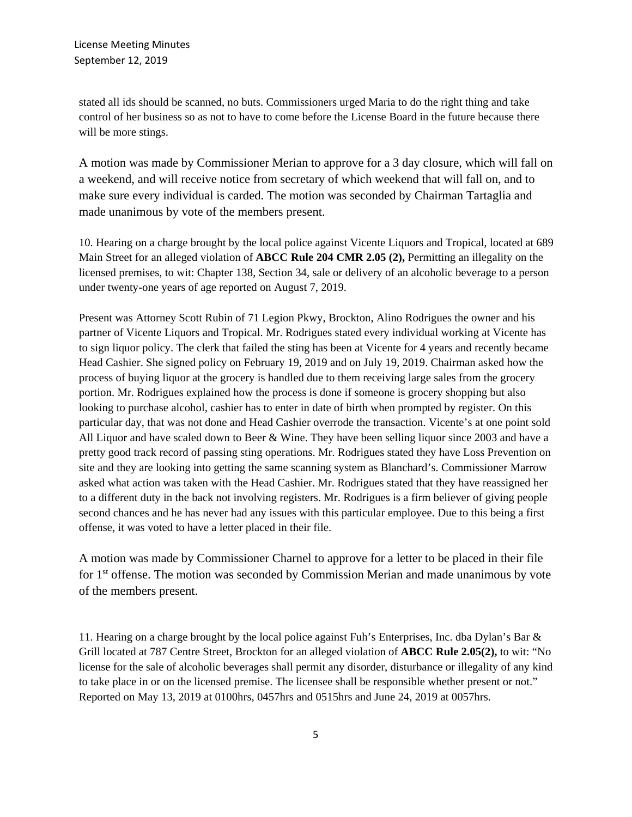stated all ids should be scanned, no buts. Commissioners urged Maria to do the right thing and take control of her business so as not to have to come before the License Board in the future because there will be more stings.

A motion was made by Commissioner Merian to approve for a 3 day closure, which will fall on a weekend, and will receive notice from secretary of which weekend that will fall on, and to make sure every individual is carded. The motion was seconded by Chairman Tartaglia and made unanimous by vote of the members present.

10. Hearing on a charge brought by the local police against Vicente Liquors and Tropical, located at 689 Main Street for an alleged violation of **ABCC Rule 204 CMR 2.05 (2),** Permitting an illegality on the licensed premises, to wit: Chapter 138, Section 34, sale or delivery of an alcoholic beverage to a person under twenty-one years of age reported on August 7, 2019.

Present was Attorney Scott Rubin of 71 Legion Pkwy, Brockton, Alino Rodrigues the owner and his partner of Vicente Liquors and Tropical. Mr. Rodrigues stated every individual working at Vicente has to sign liquor policy. The clerk that failed the sting has been at Vicente for 4 years and recently became Head Cashier. She signed policy on February 19, 2019 and on July 19, 2019. Chairman asked how the process of buying liquor at the grocery is handled due to them receiving large sales from the grocery portion. Mr. Rodrigues explained how the process is done if someone is grocery shopping but also looking to purchase alcohol, cashier has to enter in date of birth when prompted by register. On this particular day, that was not done and Head Cashier overrode the transaction. Vicente's at one point sold All Liquor and have scaled down to Beer & Wine. They have been selling liquor since 2003 and have a pretty good track record of passing sting operations. Mr. Rodrigues stated they have Loss Prevention on site and they are looking into getting the same scanning system as Blanchard's. Commissioner Marrow asked what action was taken with the Head Cashier. Mr. Rodrigues stated that they have reassigned her to a different duty in the back not involving registers. Mr. Rodrigues is a firm believer of giving people second chances and he has never had any issues with this particular employee. Due to this being a first offense, it was voted to have a letter placed in their file.

A motion was made by Commissioner Charnel to approve for a letter to be placed in their file for 1<sup>st</sup> offense. The motion was seconded by Commission Merian and made unanimous by vote of the members present.

11. Hearing on a charge brought by the local police against Fuh's Enterprises, Inc. dba Dylan's Bar & Grill located at 787 Centre Street, Brockton for an alleged violation of **ABCC Rule 2.05(2),** to wit: "No license for the sale of alcoholic beverages shall permit any disorder, disturbance or illegality of any kind to take place in or on the licensed premise. The licensee shall be responsible whether present or not." Reported on May 13, 2019 at 0100hrs, 0457hrs and 0515hrs and June 24, 2019 at 0057hrs.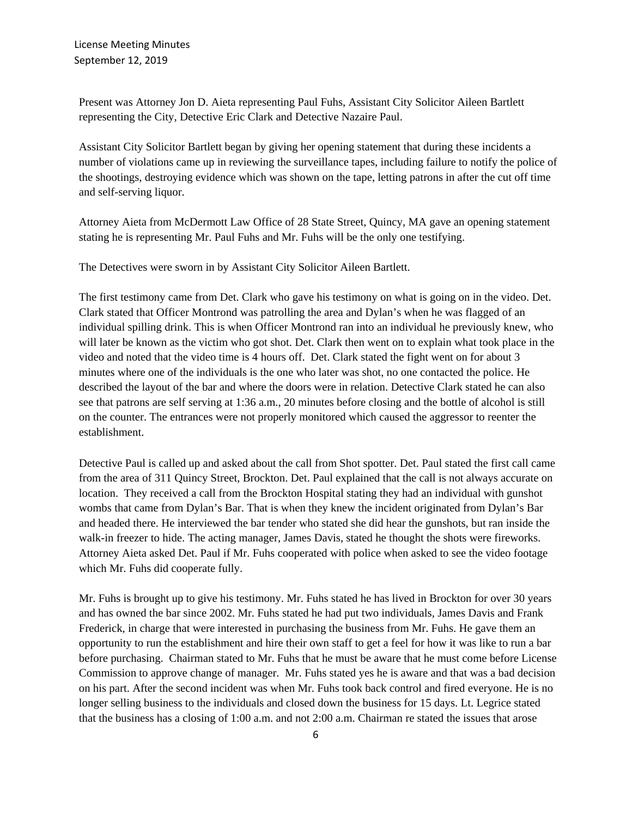Present was Attorney Jon D. Aieta representing Paul Fuhs, Assistant City Solicitor Aileen Bartlett representing the City, Detective Eric Clark and Detective Nazaire Paul.

Assistant City Solicitor Bartlett began by giving her opening statement that during these incidents a number of violations came up in reviewing the surveillance tapes, including failure to notify the police of the shootings, destroying evidence which was shown on the tape, letting patrons in after the cut off time and self-serving liquor.

Attorney Aieta from McDermott Law Office of 28 State Street, Quincy, MA gave an opening statement stating he is representing Mr. Paul Fuhs and Mr. Fuhs will be the only one testifying.

The Detectives were sworn in by Assistant City Solicitor Aileen Bartlett.

The first testimony came from Det. Clark who gave his testimony on what is going on in the video. Det. Clark stated that Officer Montrond was patrolling the area and Dylan's when he was flagged of an individual spilling drink. This is when Officer Montrond ran into an individual he previously knew, who will later be known as the victim who got shot. Det. Clark then went on to explain what took place in the video and noted that the video time is 4 hours off. Det. Clark stated the fight went on for about 3 minutes where one of the individuals is the one who later was shot, no one contacted the police. He described the layout of the bar and where the doors were in relation. Detective Clark stated he can also see that patrons are self serving at 1:36 a.m., 20 minutes before closing and the bottle of alcohol is still on the counter. The entrances were not properly monitored which caused the aggressor to reenter the establishment.

Detective Paul is called up and asked about the call from Shot spotter. Det. Paul stated the first call came from the area of 311 Quincy Street, Brockton. Det. Paul explained that the call is not always accurate on location. They received a call from the Brockton Hospital stating they had an individual with gunshot wombs that came from Dylan's Bar. That is when they knew the incident originated from Dylan's Bar and headed there. He interviewed the bar tender who stated she did hear the gunshots, but ran inside the walk-in freezer to hide. The acting manager, James Davis, stated he thought the shots were fireworks. Attorney Aieta asked Det. Paul if Mr. Fuhs cooperated with police when asked to see the video footage which Mr. Fuhs did cooperate fully.

Mr. Fuhs is brought up to give his testimony. Mr. Fuhs stated he has lived in Brockton for over 30 years and has owned the bar since 2002. Mr. Fuhs stated he had put two individuals, James Davis and Frank Frederick, in charge that were interested in purchasing the business from Mr. Fuhs. He gave them an opportunity to run the establishment and hire their own staff to get a feel for how it was like to run a bar before purchasing. Chairman stated to Mr. Fuhs that he must be aware that he must come before License Commission to approve change of manager. Mr. Fuhs stated yes he is aware and that was a bad decision on his part. After the second incident was when Mr. Fuhs took back control and fired everyone. He is no longer selling business to the individuals and closed down the business for 15 days. Lt. Legrice stated that the business has a closing of 1:00 a.m. and not 2:00 a.m. Chairman re stated the issues that arose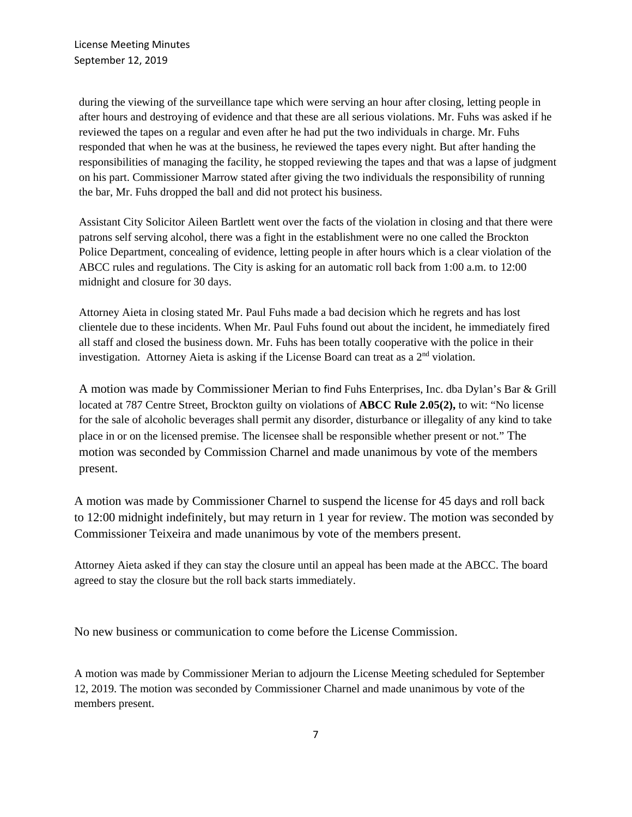during the viewing of the surveillance tape which were serving an hour after closing, letting people in after hours and destroying of evidence and that these are all serious violations. Mr. Fuhs was asked if he reviewed the tapes on a regular and even after he had put the two individuals in charge. Mr. Fuhs responded that when he was at the business, he reviewed the tapes every night. But after handing the responsibilities of managing the facility, he stopped reviewing the tapes and that was a lapse of judgment on his part. Commissioner Marrow stated after giving the two individuals the responsibility of running the bar, Mr. Fuhs dropped the ball and did not protect his business.

Assistant City Solicitor Aileen Bartlett went over the facts of the violation in closing and that there were patrons self serving alcohol, there was a fight in the establishment were no one called the Brockton Police Department, concealing of evidence, letting people in after hours which is a clear violation of the ABCC rules and regulations. The City is asking for an automatic roll back from 1:00 a.m. to 12:00 midnight and closure for 30 days.

Attorney Aieta in closing stated Mr. Paul Fuhs made a bad decision which he regrets and has lost clientele due to these incidents. When Mr. Paul Fuhs found out about the incident, he immediately fired all staff and closed the business down. Mr. Fuhs has been totally cooperative with the police in their investigation. Attorney Aieta is asking if the License Board can treat as a 2nd violation.

A motion was made by Commissioner Merian to find Fuhs Enterprises, Inc. dba Dylan's Bar & Grill located at 787 Centre Street, Brockton guilty on violations of **ABCC Rule 2.05(2),** to wit: "No license for the sale of alcoholic beverages shall permit any disorder, disturbance or illegality of any kind to take place in or on the licensed premise. The licensee shall be responsible whether present or not." The motion was seconded by Commission Charnel and made unanimous by vote of the members present.

A motion was made by Commissioner Charnel to suspend the license for 45 days and roll back to 12:00 midnight indefinitely, but may return in 1 year for review. The motion was seconded by Commissioner Teixeira and made unanimous by vote of the members present.

Attorney Aieta asked if they can stay the closure until an appeal has been made at the ABCC. The board agreed to stay the closure but the roll back starts immediately.

No new business or communication to come before the License Commission.

A motion was made by Commissioner Merian to adjourn the License Meeting scheduled for September 12, 2019. The motion was seconded by Commissioner Charnel and made unanimous by vote of the members present.